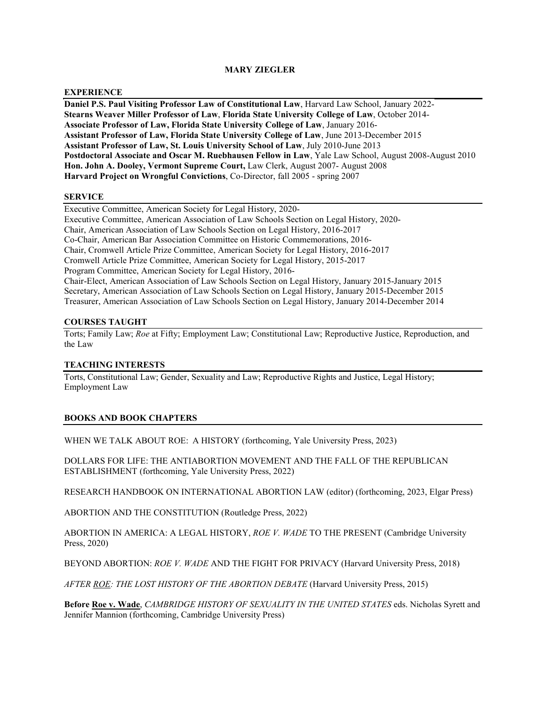# **MARY ZIEGLER**

## **EXPERIENCE**

**Daniel P.S. Paul Visiting Professor Law of Constitutional Law**, Harvard Law School, January 2022- **Stearns Weaver Miller Professor of Law**, **Florida State University College of Law**, October 2014- **Associate Professor of Law, Florida State University College of Law**, January 2016- **Assistant Professor of Law, Florida State University College of Law**, June 2013-December 2015 **Assistant Professor of Law, St. Louis University School of Law**, July 2010-June 2013 **Postdoctoral Associate and Oscar M. Ruebhausen Fellow in Law**, Yale Law School, August 2008-August 2010 **Hon. John A. Dooley, Vermont Supreme Court,** Law Clerk, August 2007- August 2008 **Harvard Project on Wrongful Convictions**, Co-Director, fall 2005 - spring 2007

### **SERVICE**

Executive Committee, American Society for Legal History, 2020- Executive Committee, American Association of Law Schools Section on Legal History, 2020- Chair, American Association of Law Schools Section on Legal History, 2016-2017 Co-Chair, American Bar Association Committee on Historic Commemorations, 2016- Chair, Cromwell Article Prize Committee, American Society for Legal History, 2016-2017 Cromwell Article Prize Committee, American Society for Legal History, 2015-2017 Program Committee, American Society for Legal History, 2016- Chair-Elect, American Association of Law Schools Section on Legal History, January 2015-January 2015 Secretary, American Association of Law Schools Section on Legal History, January 2015-December 2015 Treasurer, American Association of Law Schools Section on Legal History, January 2014-December 2014

## **COURSES TAUGHT**

Torts; Family Law; *Roe* at Fifty; Employment Law; Constitutional Law; Reproductive Justice, Reproduction, and the Law

# **TEACHING INTERESTS**

Torts, Constitutional Law; Gender, Sexuality and Law; Reproductive Rights and Justice, Legal History; Employment Law

### **BOOKS AND BOOK CHAPTERS**

WHEN WE TALK ABOUT ROE: A HISTORY (forthcoming, Yale University Press, 2023)

DOLLARS FOR LIFE: THE ANTIABORTION MOVEMENT AND THE FALL OF THE REPUBLICAN ESTABLISHMENT (forthcoming, Yale University Press, 2022)

RESEARCH HANDBOOK ON INTERNATIONAL ABORTION LAW (editor) (forthcoming, 2023, Elgar Press)

ABORTION AND THE CONSTITUTION (Routledge Press, 2022)

ABORTION IN AMERICA: A LEGAL HISTORY, *ROE V. WADE* TO THE PRESENT (Cambridge University Press, 2020)

BEYOND ABORTION: *ROE V. WADE* AND THE FIGHT FOR PRIVACY (Harvard University Press, 2018)

*AFTER ROE: THE LOST HISTORY OF THE ABORTION DEBATE* (Harvard University Press, 2015)

**Before Roe v. Wade**, *CAMBRIDGE HISTORY OF SEXUALITY IN THE UNITED STATES* eds. Nicholas Syrett and Jennifer Mannion (forthcoming, Cambridge University Press)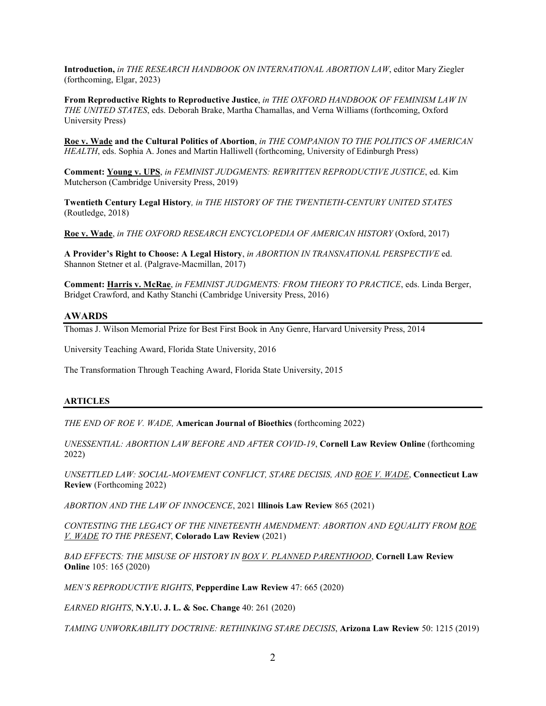**Introduction,** *in THE RESEARCH HANDBOOK ON INTERNATIONAL ABORTION LAW*, editor Mary Ziegler (forthcoming, Elgar, 2023)

**From Reproductive Rights to Reproductive Justice**, *in THE OXFORD HANDBOOK OF FEMINISM LAW IN THE UNITED STATES*, eds. Deborah Brake, Martha Chamallas, and Verna Williams (forthcoming, Oxford University Press)

**Roe v. Wade and the Cultural Politics of Abortion**, *in THE COMPANION TO THE POLITICS OF AMERICAN HEALTH*, eds. Sophia A. Jones and Martin Halliwell (forthcoming, University of Edinburgh Press)

**Comment: Young v. UPS**, *in FEMINIST JUDGMENTS: REWRITTEN REPRODUCTIVE JUSTICE*, ed. Kim Mutcherson (Cambridge University Press, 2019)

**Twentieth Century Legal History***, in THE HISTORY OF THE TWENTIETH-CENTURY UNITED STATES* (Routledge, 2018)

**Roe v. Wade**, *in THE OXFORD RESEARCH ENCYCLOPEDIA OF AMERICAN HISTORY* (Oxford, 2017)

**A Provider's Right to Choose: A Legal History**, *in ABORTION IN TRANSNATIONAL PERSPECTIVE* ed. Shannon Stetner et al. (Palgrave-Macmillan, 2017)

**Comment: Harris v. McRae**, *in FEMINIST JUDGMENTS: FROM THEORY TO PRACTICE*, eds. Linda Berger, Bridget Crawford, and Kathy Stanchi (Cambridge University Press, 2016)

## **AWARDS**

Thomas J. Wilson Memorial Prize for Best First Book in Any Genre, Harvard University Press, 2014

University Teaching Award, Florida State University, 2016

The Transformation Through Teaching Award, Florida State University, 2015

### **ARTICLES**

*THE END OF ROE V. WADE,* **American Journal of Bioethics** (forthcoming 2022)

*UNESSENTIAL: ABORTION LAW BEFORE AND AFTER COVID-19*, **Cornell Law Review Online** (forthcoming 2022)

*UNSETTLED LAW: SOCIAL-MOVEMENT CONFLICT, STARE DECISIS, AND ROE V. WADE*, **Connecticut Law Review** (Forthcoming 2022)

*ABORTION AND THE LAW OF INNOCENCE*, 2021 **Illinois Law Review** 865 (2021)

*CONTESTING THE LEGACY OF THE NINETEENTH AMENDMENT: ABORTION AND EQUALITY FROM ROE V. WADE TO THE PRESENT*, **Colorado Law Review** (2021)

*BAD EFFECTS: THE MISUSE OF HISTORY IN BOX V. PLANNED PARENTHOOD*, **Cornell Law Review Online** 105: 165 (2020)

*MEN'S REPRODUCTIVE RIGHTS*, **Pepperdine Law Review** 47: 665 (2020)

*EARNED RIGHTS*, **N.Y.U. J. L. & Soc. Change** 40: 261 (2020)

*TAMING UNWORKABILITY DOCTRINE: RETHINKING STARE DECISIS*, **Arizona Law Review** 50: 1215 (2019)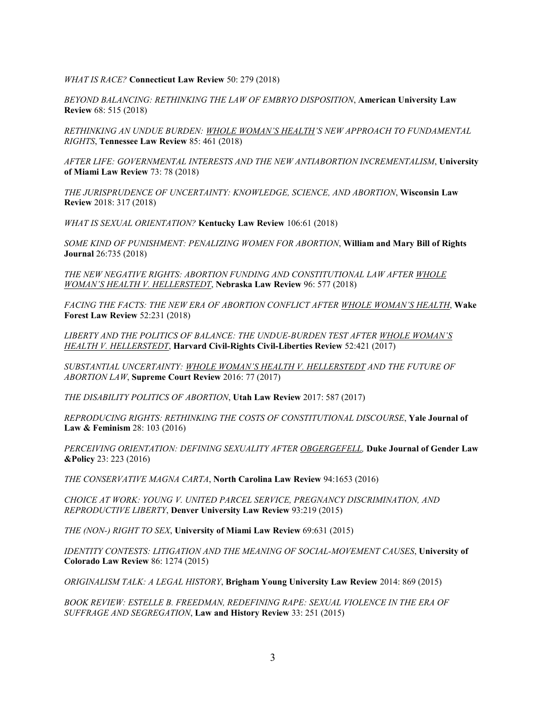### *WHAT IS RACE?* **Connecticut Law Review** 50: 279 (2018)

*BEYOND BALANCING: RETHINKING THE LAW OF EMBRYO DISPOSITION*, **American University Law Review** 68: 515 (2018)

*RETHINKING AN UNDUE BURDEN: WHOLE WOMAN'S HEALTH'S NEW APPROACH TO FUNDAMENTAL RIGHTS*, **Tennessee Law Review** 85: 461 (2018)

*AFTER LIFE: GOVERNMENTAL INTERESTS AND THE NEW ANTIABORTION INCREMENTALISM*, **University of Miami Law Review** 73: 78 (2018)

*THE JURISPRUDENCE OF UNCERTAINTY: KNOWLEDGE, SCIENCE, AND ABORTION*, **Wisconsin Law Review** 2018: 317 (2018)

*WHAT IS SEXUAL ORIENTATION?* **Kentucky Law Review** 106:61 (2018)

*SOME KIND OF PUNISHMENT: PENALIZING WOMEN FOR ABORTION*, **William and Mary Bill of Rights Journal** 26:735 (2018)

*THE NEW NEGATIVE RIGHTS: ABORTION FUNDING AND CONSTITUTIONAL LAW AFTER WHOLE WOMAN'S HEALTH V. HELLERSTEDT*, **Nebraska Law Review** 96: 577 (2018)

*FACING THE FACTS: THE NEW ERA OF ABORTION CONFLICT AFTER WHOLE WOMAN'S HEALTH*, **Wake Forest Law Review** 52:231 (2018)

*LIBERTY AND THE POLITICS OF BALANCE: THE UNDUE-BURDEN TEST AFTER WHOLE WOMAN'S HEALTH V. HELLERSTEDT*, **Harvard Civil-Rights Civil-Liberties Review** 52:421 (2017)

*SUBSTANTIAL UNCERTAINTY: WHOLE WOMAN'S HEALTH V. HELLERSTEDT AND THE FUTURE OF ABORTION LAW*, **Supreme Court Review** 2016: 77 (2017)

*THE DISABILITY POLITICS OF ABORTION*, **Utah Law Review** 2017: 587 (2017)

*REPRODUCING RIGHTS: RETHINKING THE COSTS OF CONSTITUTIONAL DISCOURSE*, **Yale Journal of Law & Feminism** 28: 103 (2016)

*PERCEIVING ORIENTATION: DEFINING SEXUALITY AFTER OBGERGEFELL,* **Duke Journal of Gender Law &Policy** 23: 223 (2016)

*THE CONSERVATIVE MAGNA CARTA*, **North Carolina Law Review** 94:1653 (2016)

*CHOICE AT WORK: YOUNG V. UNITED PARCEL SERVICE, PREGNANCY DISCRIMINATION, AND REPRODUCTIVE LIBERTY*, **Denver University Law Review** 93:219 (2015)

*THE (NON-) RIGHT TO SEX*, **University of Miami Law Review** 69:631 (2015)

*IDENTITY CONTESTS: LITIGATION AND THE MEANING OF SOCIAL-MOVEMENT CAUSES*, **University of Colorado Law Review** 86: 1274 (2015)

*ORIGINALISM TALK: A LEGAL HISTORY*, **Brigham Young University Law Review** 2014: 869 (2015)

*BOOK REVIEW: ESTELLE B. FREEDMAN, REDEFINING RAPE: SEXUAL VIOLENCE IN THE ERA OF SUFFRAGE AND SEGREGATION*, **Law and History Review** 33: 251 (2015)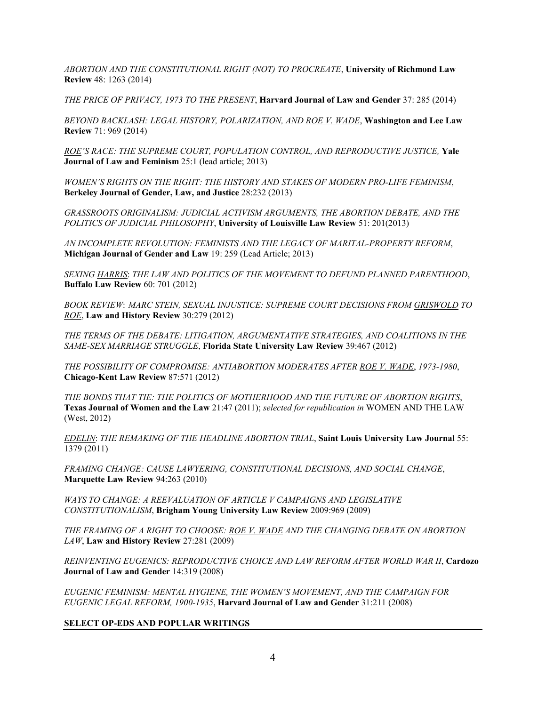*ABORTION AND THE CONSTITUTIONAL RIGHT (NOT) TO PROCREATE*, **University of Richmond Law Review** 48: 1263 (2014)

*THE PRICE OF PRIVACY, 1973 TO THE PRESENT*, **Harvard Journal of Law and Gender** 37: 285 (2014)

*BEYOND BACKLASH: LEGAL HISTORY, POLARIZATION, AND ROE V. WADE*, **Washington and Lee Law Review** 71: 969 (2014)

*ROE'S RACE: THE SUPREME COURT, POPULATION CONTROL, AND REPRODUCTIVE JUSTICE,* **Yale Journal of Law and Feminism** 25:1 (lead article; 2013)

*WOMEN'S RIGHTS ON THE RIGHT: THE HISTORY AND STAKES OF MODERN PRO-LIFE FEMINISM*, **Berkeley Journal of Gender, Law, and Justice** 28:232 (2013)

*GRASSROOTS ORIGINALISM: JUDICIAL ACTIVISM ARGUMENTS, THE ABORTION DEBATE, AND THE POLITICS OF JUDICIAL PHILOSOPHY*, **University of Louisville Law Review** 51: 201(2013)

*AN INCOMPLETE REVOLUTION: FEMINISTS AND THE LEGACY OF MARITAL-PROPERTY REFORM*, **Michigan Journal of Gender and Law** 19: 259 (Lead Article; 2013)

*SEXING HARRIS*: *THE LAW AND POLITICS OF THE MOVEMENT TO DEFUND PLANNED PARENTHOOD*, **Buffalo Law Review** 60: 701 (2012)

*BOOK REVIEW*: *MARC STEIN, SEXUAL INJUSTICE: SUPREME COURT DECISIONS FROM GRISWOLD TO ROE*, **Law and History Review** 30:279 (2012)

*THE TERMS OF THE DEBATE: LITIGATION, ARGUMENTATIVE STRATEGIES, AND COALITIONS IN THE SAME-SEX MARRIAGE STRUGGLE*, **Florida State University Law Review** 39:467 (2012)

*THE POSSIBILITY OF COMPROMISE: ANTIABORTION MODERATES AFTER ROE V. WADE*, *1973-1980*, **Chicago-Kent Law Review** 87:571 (2012)

*THE BONDS THAT TIE: THE POLITICS OF MOTHERHOOD AND THE FUTURE OF ABORTION RIGHTS*, **Texas Journal of Women and the Law** 21:47 (2011); *selected for republication in* WOMEN AND THE LAW (West, 2012)

*EDELIN*: *THE REMAKING OF THE HEADLINE ABORTION TRIAL*, **Saint Louis University Law Journal** 55: 1379 (2011)

*FRAMING CHANGE: CAUSE LAWYERING, CONSTITUTIONAL DECISIONS, AND SOCIAL CHANGE*, **Marquette Law Review** 94:263 (2010)

*WAYS TO CHANGE: A REEVALUATION OF ARTICLE V CAMPAIGNS AND LEGISLATIVE CONSTITUTIONALISM*, **Brigham Young University Law Review** 2009:969 (2009)

*THE FRAMING OF A RIGHT TO CHOOSE: ROE V. WADE AND THE CHANGING DEBATE ON ABORTION LAW*, **Law and History Review** 27:281 (2009)

*REINVENTING EUGENICS: REPRODUCTIVE CHOICE AND LAW REFORM AFTER WORLD WAR II*, **Cardozo Journal of Law and Gender** 14:319 (2008)

*EUGENIC FEMINISM: MENTAL HYGIENE, THE WOMEN'S MOVEMENT, AND THE CAMPAIGN FOR EUGENIC LEGAL REFORM, 1900-1935*, **Harvard Journal of Law and Gender** 31:211 (2008)

# **SELECT OP-EDS AND POPULAR WRITINGS**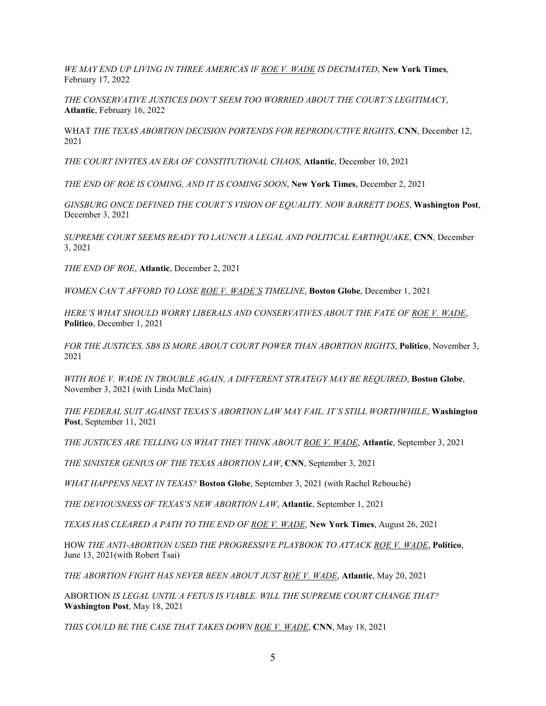*WE MAY END UP LIVING IN THREE AMERICAS IF ROE V. WADE IS DECIMATED*, **New York Times**, February 17, 2022

*THE CONSERVATIVE JUSTICES DON'T SEEM TOO WORRIED ABOUT THE COURT'S LEGITIMACY*, **Atlantic**, February 16, 2022

WHAT *THE TEXAS ABORTION DECISION PORTENDS FOR REPRODUCTIVE RIGHTS*, **CNN**, December 12, 2021

*THE COURT INVITES AN ERA OF CONSTITUTIONAL CHAOS*, **Atlantic**, December 10, 2021

*THE END OF ROE IS COMING, AND IT IS COMING SOON*, **New York Times**, December 2, 2021

*GINSBURG ONCE DEFINED THE COURT'S VISION OF EQUALITY. NOW BARRETT DOES*, **Washington Post**, December 3, 2021

*SUPREME COURT SEEMS READY TO LAUNCH A LEGAL AND POLITICAL EARTHQUAKE*, **CNN**, December 3, 2021

*THE END OF ROE*, **Atlantic**, December 2, 2021

*WOMEN CAN'T AFFORD TO LOSE ROE V. WADE'S TIMELINE*, **Boston Globe**, December 1, 2021

*HERE'S WHAT SHOULD WORRY LIBERALS AND CONSERVATIVES ABOUT THE FATE OF ROE V. WADE*, **Politico**, December 1, 2021

*FOR THE JUSTICES, SB8 IS MORE ABOUT COURT POWER THAN ABORTION RIGHTS*, **Politico**, November 3, 2021

*WITH ROE V. WADE IN TROUBLE AGAIN, A DIFFERENT STRATEGY MAY BE REQUIRED*, **Boston Globe**, November 3, 2021 (with Linda McClain)

*THE FEDERAL SUIT AGAINST TEXAS'S ABORTION LAW MAY FAIL. IT'S STILL WORTHWHILE*, **Washington Post**, September 11, 2021

*THE JUSTICES ARE TELLING US WHAT THEY THINK ABOUT ROE V. WADE*, **Atlantic**, September 3, 2021

*THE SINISTER GENIUS OF THE TEXAS ABORTION LAW*, **CNN**, September 3, 2021

*WHAT HAPPENS NEXT IN TEXAS?* **Boston Globe**, September 3, 2021 (with Rachel Rebouché)

*THE DEVIOUSNESS OF TEXAS'S NEW ABORTION LAW*, **Atlantic**, September 1, 2021

*TEXAS HAS CLEARED A PATH TO THE END OF ROE V. WADE*, **New York Times**, August 26, 2021

HOW *THE ANTI-ABORTION USED THE PROGRESSIVE PLAYBOOK TO ATTACK ROE V. WADE*, **Politico**, June 13, 2021(with Robert Tsai)

*THE ABORTION FIGHT HAS NEVER BEEN ABOUT JUST ROE V. WADE*, **Atlantic**, May 20, 2021

ABORTION *IS LEGAL UNTIL A FETUS IS VIABLE. WILL THE SUPREME COURT CHANGE THAT?*  **Washington Post**, May 18, 2021

*THIS COULD BE THE CASE THAT TAKES DOWN ROE V. WADE*, **CNN**, May 18, 2021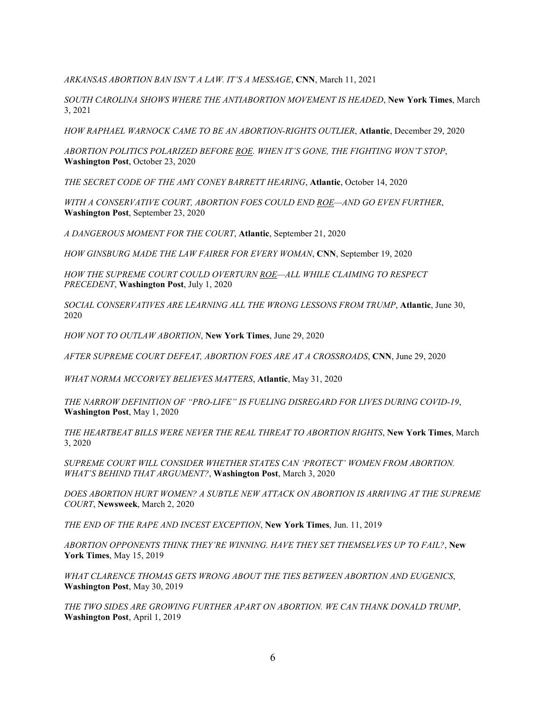*ARKANSAS ABORTION BAN ISN'T A LAW. IT'S A MESSAGE*, **CNN**, March 11, 2021

*SOUTH CAROLINA SHOWS WHERE THE ANTIABORTION MOVEMENT IS HEADED*, **New York Times**, March 3, 2021

*HOW RAPHAEL WARNOCK CAME TO BE AN ABORTION-RIGHTS OUTLIER*, **Atlantic**, December 29, 2020

*ABORTION POLITICS POLARIZED BEFORE ROE. WHEN IT'S GONE, THE FIGHTING WON'T STOP*, **Washington Post**, October 23, 2020

*THE SECRET CODE OF THE AMY CONEY BARRETT HEARING*, **Atlantic**, October 14, 2020

*WITH A CONSERVATIVE COURT, ABORTION FOES COULD END ROE—AND GO EVEN FURTHER*, **Washington Post**, September 23, 2020

*A DANGEROUS MOMENT FOR THE COURT*, **Atlantic**, September 21, 2020

*HOW GINSBURG MADE THE LAW FAIRER FOR EVERY WOMAN*, **CNN**, September 19, 2020

*HOW THE SUPREME COURT COULD OVERTURN ROE—ALL WHILE CLAIMING TO RESPECT PRECEDENT*, **Washington Post**, July 1, 2020

*SOCIAL CONSERVATIVES ARE LEARNING ALL THE WRONG LESSONS FROM TRUMP*, **Atlantic**, June 30, 2020

*HOW NOT TO OUTLAW ABORTION*, **New York Times**, June 29, 2020

*AFTER SUPREME COURT DEFEAT, ABORTION FOES ARE AT A CROSSROADS*, **CNN**, June 29, 2020

*WHAT NORMA MCCORVEY BELIEVES MATTERS*, **Atlantic**, May 31, 2020

*THE NARROW DEFINITION OF "PRO-LIFE" IS FUELING DISREGARD FOR LIVES DURING COVID-19*, **Washington Post**, May 1, 2020

*THE HEARTBEAT BILLS WERE NEVER THE REAL THREAT TO ABORTION RIGHTS*, **New York Times**, March 3, 2020

*SUPREME COURT WILL CONSIDER WHETHER STATES CAN 'PROTECT' WOMEN FROM ABORTION. WHAT'S BEHIND THAT ARGUMENT?*, **Washington Post**, March 3, 2020

*DOES ABORTION HURT WOMEN? A SUBTLE NEW ATTACK ON ABORTION IS ARRIVING AT THE SUPREME COURT*, **Newsweek**, March 2, 2020

*THE END OF THE RAPE AND INCEST EXCEPTION*, **New York Times**, Jun. 11, 2019

*ABORTION OPPONENTS THINK THEY'RE WINNING. HAVE THEY SET THEMSELVES UP TO FAIL?*, **New York Times**, May 15, 2019

*WHAT CLARENCE THOMAS GETS WRONG ABOUT THE TIES BETWEEN ABORTION AND EUGENICS*, **Washington Post**, May 30, 2019

*THE TWO SIDES ARE GROWING FURTHER APART ON ABORTION. WE CAN THANK DONALD TRUMP*, **Washington Post**, April 1, 2019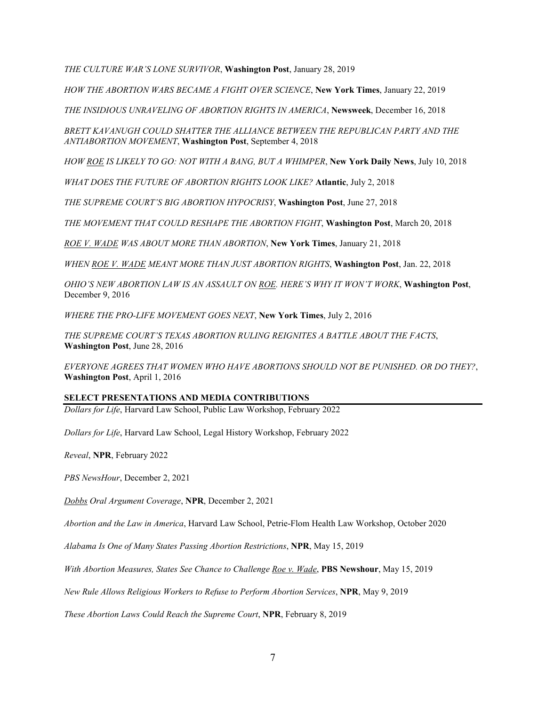*THE CULTURE WAR'S LONE SURVIVOR*, **Washington Post**, January 28, 2019

*HOW THE ABORTION WARS BECAME A FIGHT OVER SCIENCE*, **New York Times**, January 22, 2019

*THE INSIDIOUS UNRAVELING OF ABORTION RIGHTS IN AMERICA*, **Newsweek**, December 16, 2018

*BRETT KAVANUGH COULD SHATTER THE ALLIANCE BETWEEN THE REPUBLICAN PARTY AND THE ANTIABORTION MOVEMENT*, **Washington Post**, September 4, 2018

*HOW ROE IS LIKELY TO GO: NOT WITH A BANG, BUT A WHIMPER*, **New York Daily News**, July 10, 2018

*WHAT DOES THE FUTURE OF ABORTION RIGHTS LOOK LIKE?* **Atlantic**, July 2, 2018

*THE SUPREME COURT'S BIG ABORTION HYPOCRISY*, **Washington Post**, June 27, 2018

*THE MOVEMENT THAT COULD RESHAPE THE ABORTION FIGHT*, **Washington Post**, March 20, 2018

*ROE V. WADE WAS ABOUT MORE THAN ABORTION*, **New York Times**, January 21, 2018

*WHEN ROE V. WADE MEANT MORE THAN JUST ABORTION RIGHTS*, **Washington Post**, Jan. 22, 2018

*OHIO'S NEW ABORTION LAW IS AN ASSAULT ON ROE. HERE'S WHY IT WON'T WORK*, **Washington Post**, December 9, 2016

*WHERE THE PRO-LIFE MOVEMENT GOES NEXT*, **New York Times**, July 2, 2016

*THE SUPREME COURT'S TEXAS ABORTION RULING REIGNITES A BATTLE ABOUT THE FACTS*, **Washington Post**, June 28, 2016

*EVERYONE AGREES THAT WOMEN WHO HAVE ABORTIONS SHOULD NOT BE PUNISHED. OR DO THEY?*, **Washington Post**, April 1, 2016

# **SELECT PRESENTATIONS AND MEDIA CONTRIBUTIONS**

*Dollars for Life*, Harvard Law School, Public Law Workshop, February 2022

*Dollars for Life*, Harvard Law School, Legal History Workshop, February 2022

*Reveal*, **NPR**, February 2022

*PBS NewsHour*, December 2, 2021

*Dobbs Oral Argument Coverage*, **NPR**, December 2, 2021

*Abortion and the Law in America*, Harvard Law School, Petrie-Flom Health Law Workshop, October 2020

*Alabama Is One of Many States Passing Abortion Restrictions*, **NPR**, May 15, 2019

*With Abortion Measures, States See Chance to Challenge Roe v. Wade*, **PBS Newshour**, May 15, 2019

*New Rule Allows Religious Workers to Refuse to Perform Abortion Services*, **NPR**, May 9, 2019

*These Abortion Laws Could Reach the Supreme Court*, **NPR**, February 8, 2019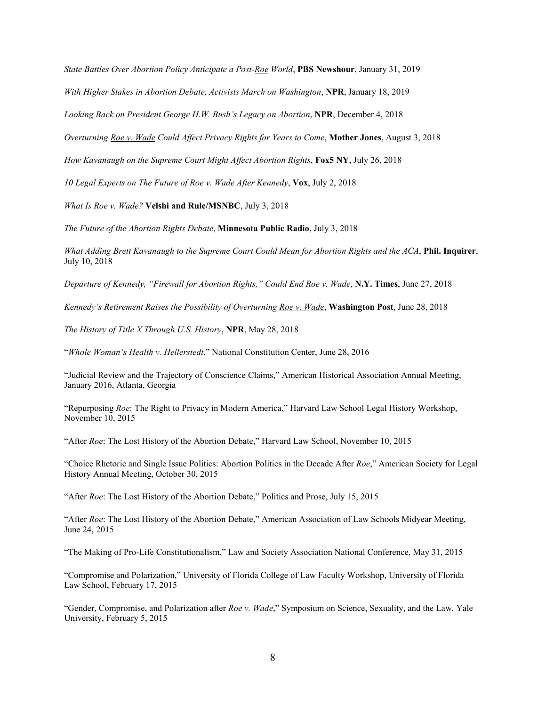*State Battles Over Abortion Policy Anticipate a Post-Roe World*, **PBS Newshour**, January 31, 2019

*With Higher Stakes in Abortion Debate, Activists March on Washington*, **NPR**, January 18, 2019

*Looking Back on President George H.W. Bush's Legacy on Abortion*, **NPR**, December 4, 2018

*Overturning Roe v. Wade Could Affect Privacy Rights for Years to Come*, **Mother Jones**, August 3, 2018

*How Kavanaugh on the Supreme Court Might Affect Abortion Rights*, **Fox5 NY**, July 26, 2018

*10 Legal Experts on The Future of Roe v. Wade After Kennedy*, **Vox**, July 2, 2018

*What Is Roe v. Wade?* **Velshi and Rule/MSNBC**, July 3, 2018

*The Future of the Abortion Rights Debate*, **Minnesota Public Radio**, July 3, 2018

*What Adding Brett Kavanaugh to the Supreme Court Could Mean for Abortion Rights and the ACA*, **Phil. Inquirer**, July 10, 2018

*Departure of Kennedy, "Firewall for Abortion Rights," Could End Roe v. Wade*, **N.Y. Times**, June 27, 2018

*Kennedy's Retirement Raises the Possibility of Overturning Roe v. Wade*, **Washington Post**, June 28, 2018

*The History of Title X Through U.S. History*, **NPR**, May 28, 2018

"*Whole Woman's Health v. Hellerstedt*," National Constitution Center, June 28, 2016

"Judicial Review and the Trajectory of Conscience Claims," American Historical Association Annual Meeting, January 2016, Atlanta, Georgia

"Repurposing *Roe*: The Right to Privacy in Modern America," Harvard Law School Legal History Workshop, November 10, 2015

"After *Roe*: The Lost History of the Abortion Debate," Harvard Law School, November 10, 2015

"Choice Rhetoric and Single Issue Politics: Abortion Politics in the Decade After *Roe*," American Society for Legal History Annual Meeting, October 30, 2015

"After *Roe*: The Lost History of the Abortion Debate," Politics and Prose, July 15, 2015

"After *Roe*: The Lost History of the Abortion Debate," American Association of Law Schools Midyear Meeting, June 24, 2015

"The Making of Pro-Life Constitutionalism," Law and Society Association National Conference, May 31, 2015

"Compromise and Polarization," University of Florida College of Law Faculty Workshop, University of Florida Law School, February 17, 2015

"Gender, Compromise, and Polarization after *Roe v. Wade*," Symposium on Science, Sexuality, and the Law, Yale University, February 5, 2015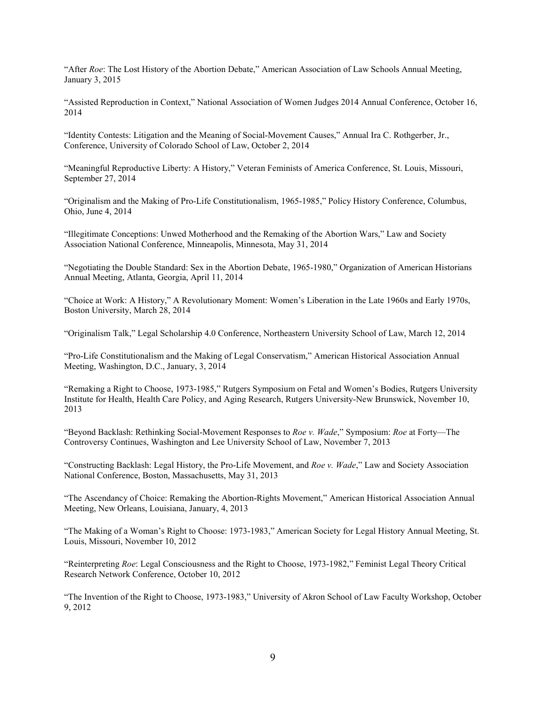"After *Roe*: The Lost History of the Abortion Debate," American Association of Law Schools Annual Meeting, January 3, 2015

"Assisted Reproduction in Context," National Association of Women Judges 2014 Annual Conference, October 16, 2014

"Identity Contests: Litigation and the Meaning of Social-Movement Causes," Annual Ira C. Rothgerber, Jr., Conference, University of Colorado School of Law, October 2, 2014

"Meaningful Reproductive Liberty: A History," Veteran Feminists of America Conference, St. Louis, Missouri, September 27, 2014

"Originalism and the Making of Pro-Life Constitutionalism, 1965-1985," Policy History Conference, Columbus, Ohio, June 4, 2014

"Illegitimate Conceptions: Unwed Motherhood and the Remaking of the Abortion Wars," Law and Society Association National Conference, Minneapolis, Minnesota, May 31, 2014

"Negotiating the Double Standard: Sex in the Abortion Debate, 1965-1980," Organization of American Historians Annual Meeting, Atlanta, Georgia, April 11, 2014

"Choice at Work: A History," A Revolutionary Moment: Women's Liberation in the Late 1960s and Early 1970s, Boston University, March 28, 2014

"Originalism Talk," Legal Scholarship 4.0 Conference, Northeastern University School of Law, March 12, 2014

"Pro-Life Constitutionalism and the Making of Legal Conservatism," American Historical Association Annual Meeting, Washington, D.C., January, 3, 2014

"Remaking a Right to Choose, 1973-1985," Rutgers Symposium on Fetal and Women's Bodies, Rutgers University Institute for Health, Health Care Policy, and Aging Research, Rutgers University-New Brunswick, November 10, 2013

"Beyond Backlash: Rethinking Social-Movement Responses to *Roe v. Wade*," Symposium: *Roe* at Forty—The Controversy Continues, Washington and Lee University School of Law, November 7, 2013

"Constructing Backlash: Legal History, the Pro-Life Movement, and *Roe v. Wade*," Law and Society Association National Conference, Boston, Massachusetts, May 31, 2013

"The Ascendancy of Choice: Remaking the Abortion-Rights Movement," American Historical Association Annual Meeting, New Orleans, Louisiana, January, 4, 2013

"The Making of a Woman's Right to Choose: 1973-1983," American Society for Legal History Annual Meeting, St. Louis, Missouri, November 10, 2012

"Reinterpreting *Roe*: Legal Consciousness and the Right to Choose, 1973-1982," Feminist Legal Theory Critical Research Network Conference, October 10, 2012

"The Invention of the Right to Choose, 1973-1983," University of Akron School of Law Faculty Workshop, October 9, 2012